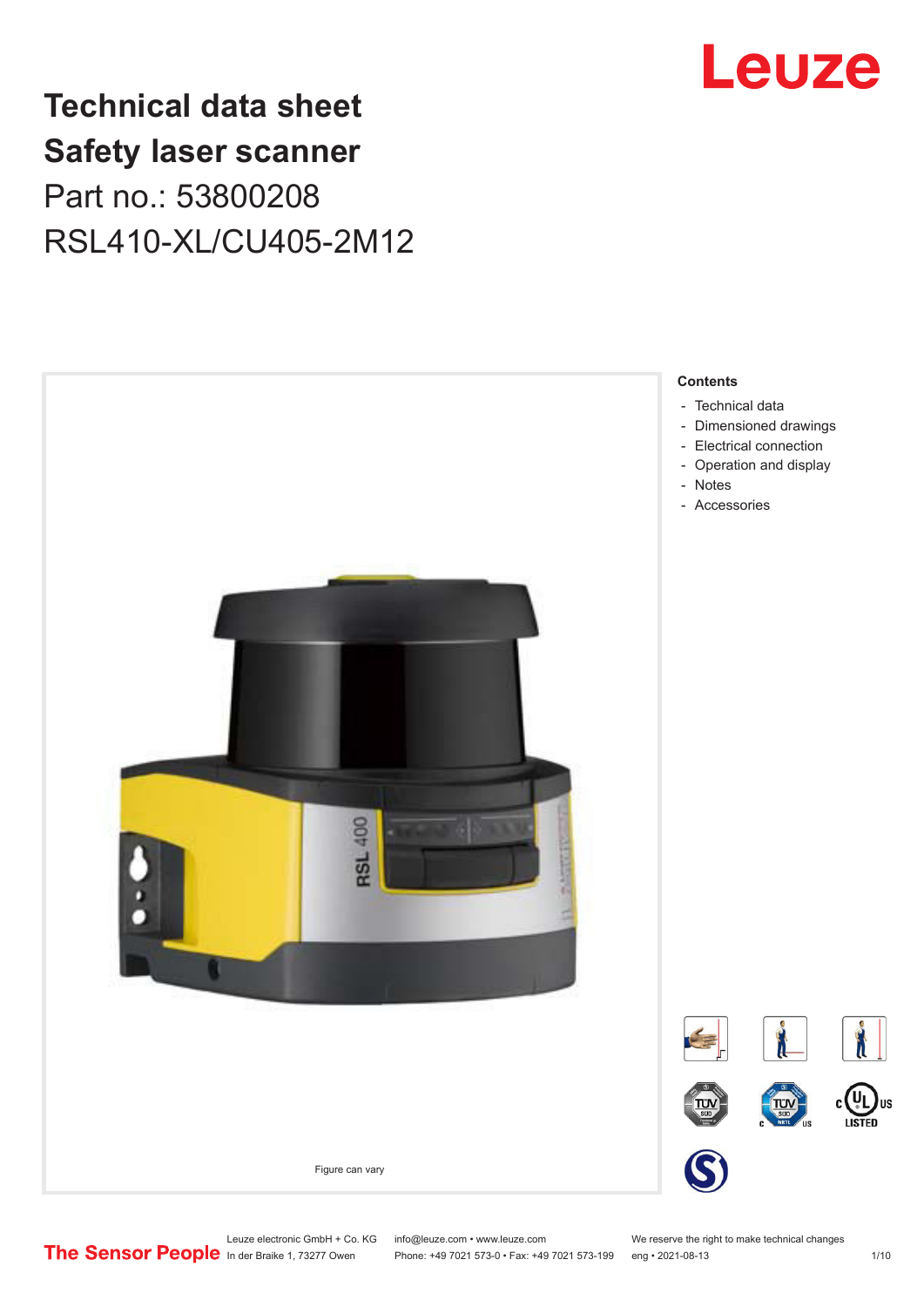# **Technical data sheet Safety laser scanner** Part no.: 53800208 RSL410-XL/CU405-2M12



Phone: +49 7021 573-0 • Fax: +49 7021 573-199 eng • 2021-08-13 1/10

# Leuze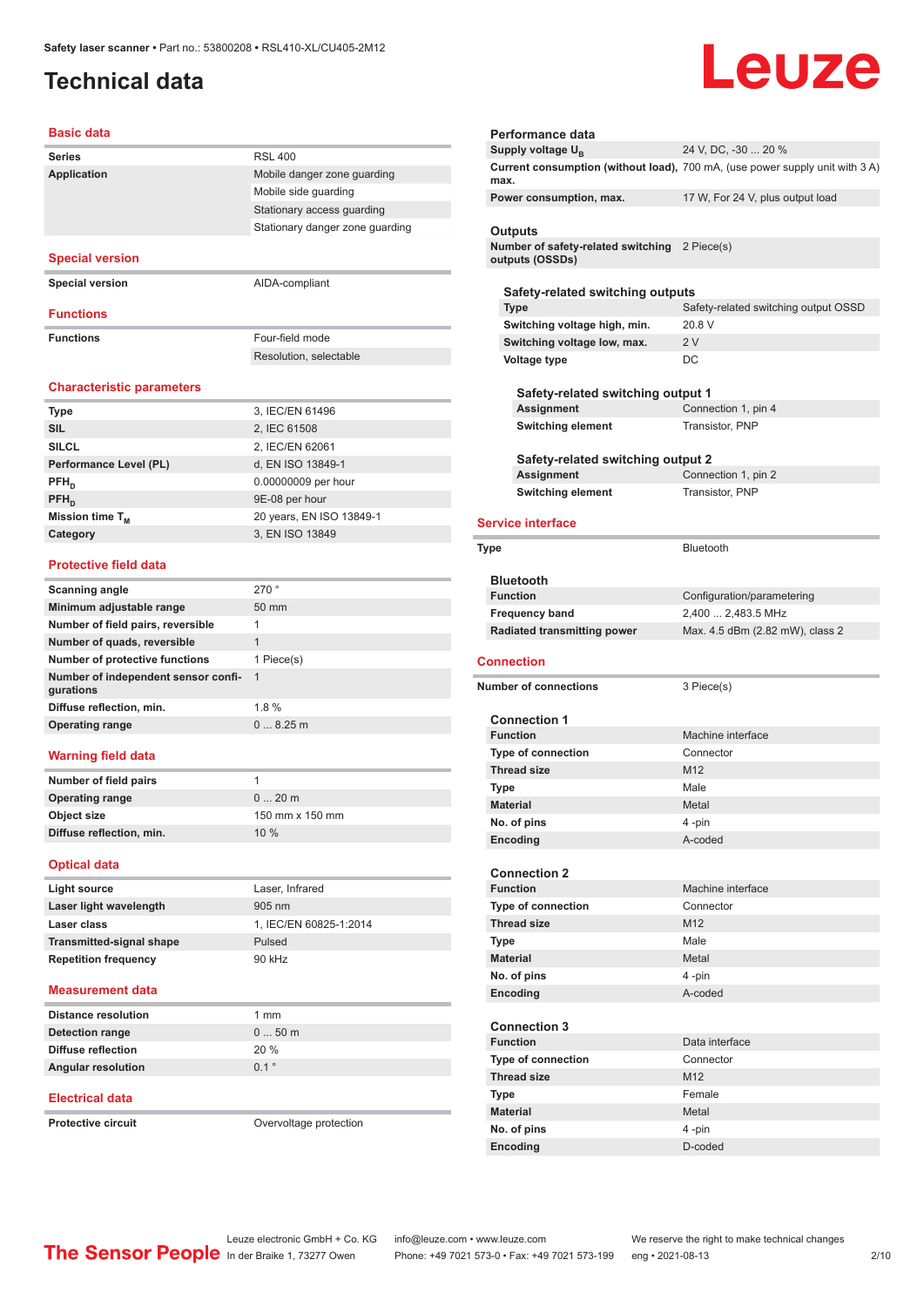## <span id="page-1-0"></span>**Technical data**

# Leuze

### **Basic data**

| <b>Series</b>          | <b>RSL 400</b>                  |
|------------------------|---------------------------------|
| <b>Application</b>     | Mobile danger zone quarding     |
|                        | Mobile side quarding            |
|                        | Stationary access quarding      |
|                        | Stationary danger zone guarding |
| <b>Special version</b> |                                 |
| <b>Special version</b> | AIDA-compliant                  |
|                        |                                 |
| <b>Functions</b>       |                                 |
| <b>Functions</b>       | Four-field mode                 |
|                        | Resolution, selectable          |

### **Characteristic parameters**

| <b>Type</b>            | 3, IEC/EN 61496          |
|------------------------|--------------------------|
| <b>SIL</b>             | 2, IEC 61508             |
| <b>SILCL</b>           | 2, IEC/EN 62061          |
| Performance Level (PL) | d, EN ISO 13849-1        |
| $PFH_{n}$              | 0.00000009 per hour      |
| $PFH_n$                | 9E-08 per hour           |
| Mission time $T_{M}$   | 20 years, EN ISO 13849-1 |
| Category               | 3, EN ISO 13849          |
|                        |                          |

### **Protective field data**

| Scanning angle                                   | 270°            |
|--------------------------------------------------|-----------------|
| Minimum adjustable range                         | $50 \text{ mm}$ |
| Number of field pairs, reversible                | 1               |
| Number of quads, reversible                      | 1               |
| Number of protective functions                   | 1 Piece(s)      |
| Number of independent sensor confi-<br>gurations | $\overline{1}$  |
| Diffuse reflection, min.                         | 1.8%            |
| <b>Operating range</b>                           | 0.825 m         |
|                                                  |                 |

### **Warning field data**

| Number of field pairs    |                 |
|--------------------------|-----------------|
| <b>Operating range</b>   | $020$ m         |
| Object size              | 150 mm x 150 mm |
| Diffuse reflection, min. | 10%             |

### **Optical data**

| Light source                    | Laser, Infrared        |
|---------------------------------|------------------------|
| Laser light wavelength          | 905 nm                 |
| Laser class                     | 1. IEC/EN 60825-1:2014 |
| <b>Transmitted-signal shape</b> | Pulsed                 |
| <b>Repetition frequency</b>     | 90 kHz                 |

### **Measurement data**

| <b>Distance resolution</b> | 1 mm             |
|----------------------------|------------------|
| Detection range            | $050$ m          |
| Diffuse reflection         | 20%              |
| <b>Angular resolution</b>  | $0.1$ $^{\circ}$ |

### **Electrical data**

**Protective circuit COVER 1999** Overvoltage protection

| Performance data                                                            |                                                                              |
|-----------------------------------------------------------------------------|------------------------------------------------------------------------------|
| Supply voltage $U_{B}$                                                      | 24 V, DC, -30  20 %                                                          |
| max.                                                                        | Current consumption (without load), 700 mA, (use power supply unit with 3 A) |
| Power consumption, max.                                                     | 17 W, For 24 V, plus output load                                             |
|                                                                             |                                                                              |
| Outputs<br>Number of safety-related switching 2 Piece(s)<br>outputs (OSSDs) |                                                                              |
|                                                                             |                                                                              |
| Safety-related switching outputs                                            |                                                                              |
| Type                                                                        | Safety-related switching output OSSD                                         |
| Switching voltage high, min.                                                | 20.8 V                                                                       |
| Switching voltage low, max.                                                 | 2V                                                                           |
| Voltage type                                                                | DC                                                                           |
| Safety-related switching output 1                                           |                                                                              |
| Assignment                                                                  | Connection 1, pin 4                                                          |
| <b>Switching element</b>                                                    | Transistor, PNP                                                              |
| Safety-related switching output 2                                           |                                                                              |
| Assignment                                                                  | Connection 1, pin 2                                                          |
| <b>Switching element</b>                                                    | Transistor, PNP                                                              |
| <b>Service interface</b>                                                    |                                                                              |
| <b>Type</b>                                                                 | <b>Bluetooth</b>                                                             |
|                                                                             |                                                                              |
| <b>Bluetooth</b>                                                            |                                                                              |
|                                                                             |                                                                              |
| <b>Function</b>                                                             | Configuration/parametering                                                   |
| <b>Frequency band</b>                                                       | 2,400  2,483.5 MHz                                                           |
| <b>Radiated transmitting power</b>                                          | Max. 4.5 dBm (2.82 mW), class 2                                              |
| Connection                                                                  |                                                                              |
| <b>Number of connections</b>                                                | 3 Piece(s)                                                                   |
|                                                                             |                                                                              |
| <b>Connection 1</b><br><b>Function</b>                                      | Machine interface                                                            |
| <b>Type of connection</b>                                                   | Connector                                                                    |
| <b>Thread size</b>                                                          | M <sub>12</sub>                                                              |
| <b>Type</b>                                                                 | Male                                                                         |
|                                                                             | Metal                                                                        |
| <b>Material</b>                                                             |                                                                              |
| No. of pins                                                                 | 4 -pin                                                                       |
| Encoding                                                                    | A-coded                                                                      |
|                                                                             |                                                                              |
| <b>Connection 2</b><br><b>Function</b>                                      |                                                                              |
|                                                                             | Machine interface                                                            |
| Type of connection                                                          | Connector                                                                    |
| <b>Thread size</b>                                                          | M <sub>12</sub>                                                              |
| <b>Type</b>                                                                 | Male                                                                         |
| <b>Material</b>                                                             | Metal                                                                        |
| No. of pins                                                                 | 4-pin                                                                        |
| Encoding                                                                    | A-coded                                                                      |
| <b>Connection 3</b>                                                         |                                                                              |
| <b>Function</b>                                                             | Data interface                                                               |
| <b>Type of connection</b>                                                   | Connector                                                                    |
| <b>Thread size</b>                                                          | M <sub>12</sub>                                                              |
| <b>Type</b>                                                                 | Female                                                                       |
| <b>Material</b>                                                             | Metal                                                                        |
| No. of pins                                                                 | 4 -pin                                                                       |
| Encoding                                                                    | D-coded                                                                      |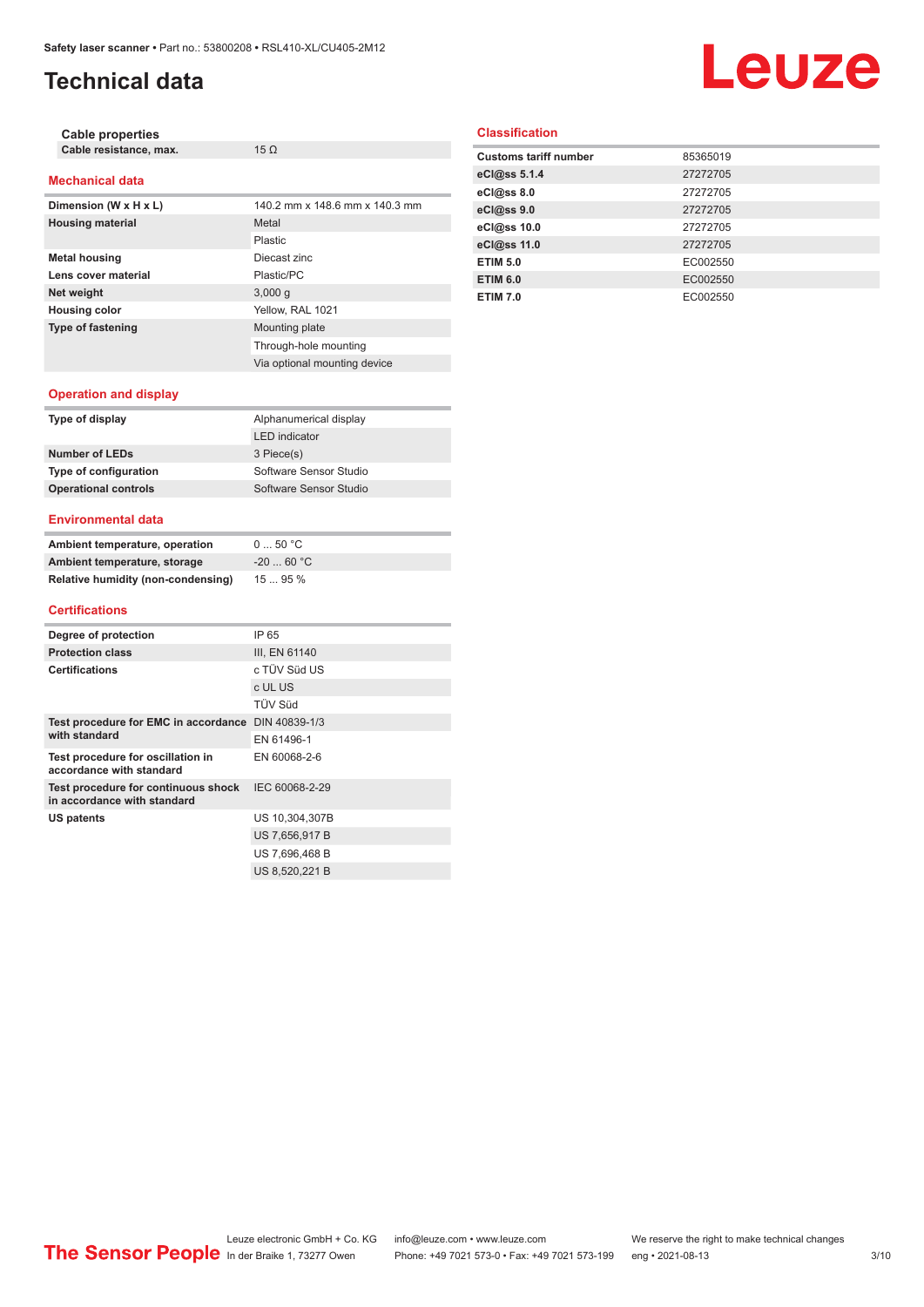## **Technical data**

# Leuze

| <b>Cable properties</b>                                            |                                |
|--------------------------------------------------------------------|--------------------------------|
| Cable resistance, max.                                             | $15 \Omega$                    |
| <b>Mechanical data</b>                                             |                                |
| Dimension (W x H x L)                                              | 140.2 mm x 148.6 mm x 140.3 mm |
| <b>Housing material</b>                                            | Metal                          |
|                                                                    | <b>Plastic</b>                 |
| <b>Metal housing</b>                                               | Diecast zinc                   |
| Lens cover material                                                | Plastic/PC                     |
| Net weight                                                         | 3,000q                         |
| <b>Housing color</b>                                               | Yellow, RAL 1021               |
| <b>Type of fastening</b>                                           | Mounting plate                 |
|                                                                    | Through-hole mounting          |
|                                                                    | Via optional mounting device   |
| <b>Operation and display</b>                                       |                                |
| Type of display                                                    | Alphanumerical display         |
|                                                                    | <b>LED</b> indicator           |
| <b>Number of LEDs</b>                                              | 3 Piece(s)                     |
| <b>Type of configuration</b>                                       | Software Sensor Studio         |
| <b>Operational controls</b>                                        | Software Sensor Studio         |
| <b>Environmental data</b>                                          |                                |
| Ambient temperature, operation                                     | 050 °C                         |
| Ambient temperature, storage                                       | $-20$ 60 °C                    |
| Relative humidity (non-condensing)                                 | 15  95 %                       |
| <b>Certifications</b>                                              |                                |
| Degree of protection                                               | IP 65                          |
| <b>Protection class</b>                                            | III, EN 61140                  |
| <b>Certifications</b>                                              | c TÜV Süd US                   |
|                                                                    | c UL US                        |
|                                                                    | TÜV Süd                        |
| Test procedure for EMC in accordance DIN 40839-1/3                 |                                |
| with standard                                                      | EN 61496-1                     |
| Test procedure for oscillation in<br>accordance with standard      | EN 60068-2-6                   |
| Test procedure for continuous shock<br>in accordance with standard | IEC 60068-2-29                 |
|                                                                    |                                |
| <b>US patents</b>                                                  | US 10,304,307B                 |

### **Classification**

| <b>Customs tariff number</b> | 85365019 |
|------------------------------|----------|
| eCl@ss 5.1.4                 | 27272705 |
| eCl@ss 8.0                   | 27272705 |
| eCl@ss 9.0                   | 27272705 |
| eCl@ss 10.0                  | 27272705 |
| eCl@ss 11.0                  | 27272705 |
| <b>ETIM 5.0</b>              | EC002550 |
| <b>ETIM 6.0</b>              | EC002550 |
| <b>ETIM 7.0</b>              | EC002550 |

| Degree of protection                                               | IP 65          |
|--------------------------------------------------------------------|----------------|
| <b>Protection class</b>                                            | III, EN 61140  |
| <b>Certifications</b>                                              | c TÜV Süd US   |
|                                                                    | c UL US        |
|                                                                    | TÜV Süd        |
| Test procedure for EMC in accordance<br>with standard              | DIN 40839-1/3  |
|                                                                    | EN 61496-1     |
| Test procedure for oscillation in<br>accordance with standard      | EN 60068-2-6   |
| Test procedure for continuous shock<br>in accordance with standard | IEC 60068-2-29 |
| US patents                                                         | US 10,304,307B |
|                                                                    | US 7,656,917 B |
|                                                                    | US 7,696,468 B |
|                                                                    | US 8,520,221 B |
|                                                                    |                |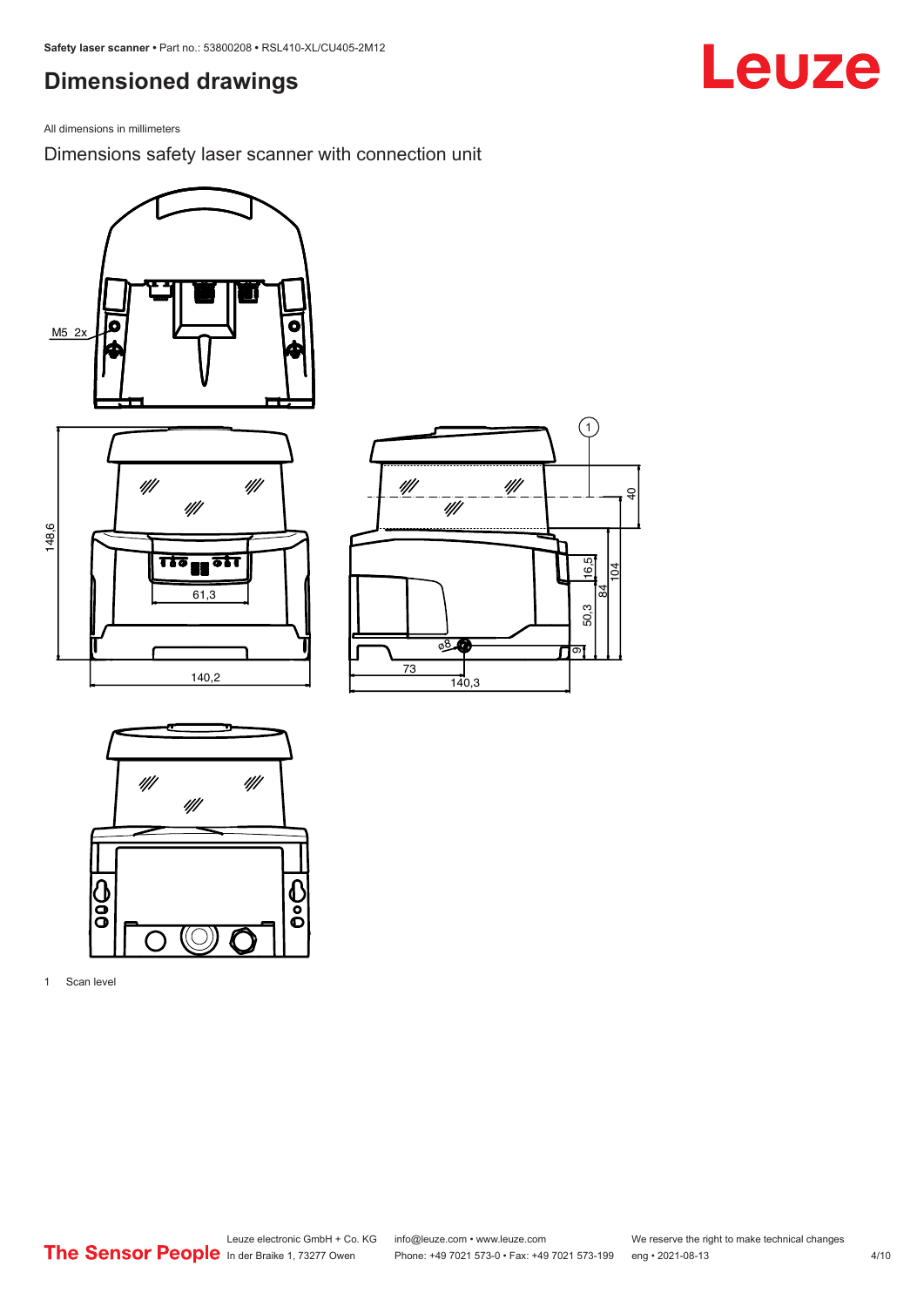## <span id="page-3-0"></span>**Dimensioned drawings**

All dimensions in millimeters

Dimensions safety laser scanner with connection unit









1 Scan level

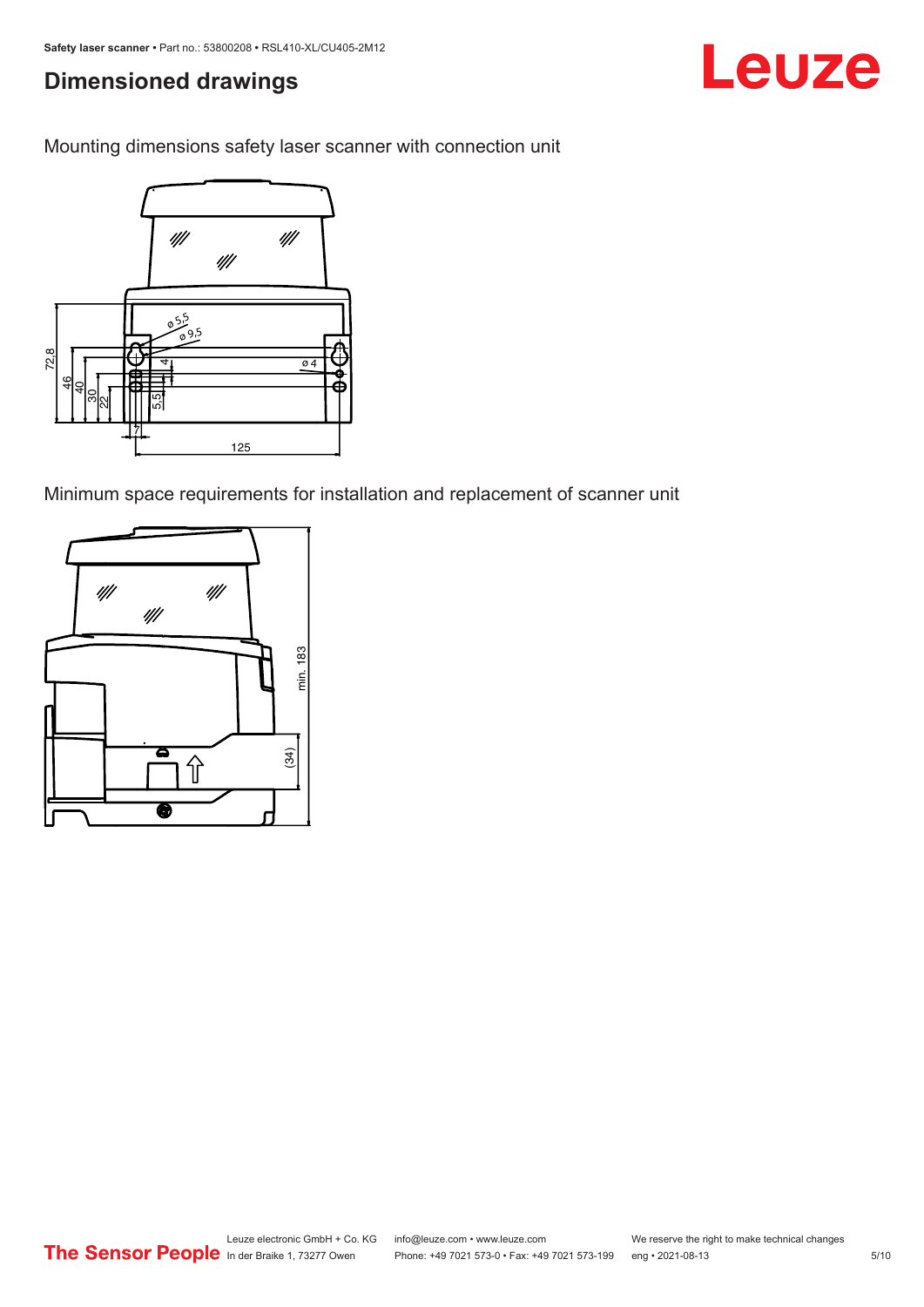## **Dimensioned drawings**

Mounting dimensions safety laser scanner with connection unit



Minimum space requirements for installation and replacement of scanner unit



Leuze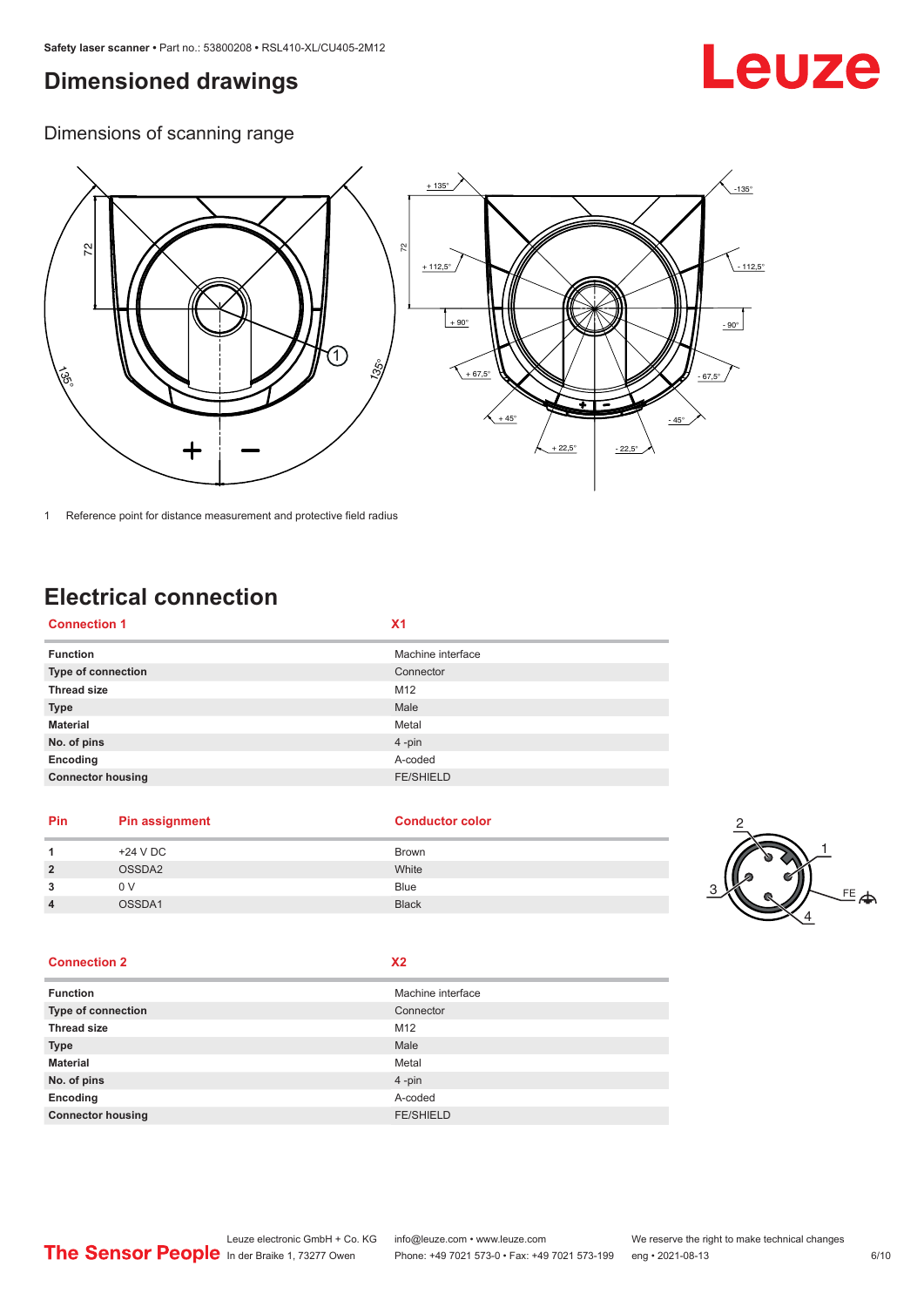# <span id="page-5-0"></span>**Dimensioned drawings**

# Leuze

Dimensions of scanning range



1 Reference point for distance measurement and protective field radius

# **Electrical connection**

| <b>Connection 1</b>      | Х1                |
|--------------------------|-------------------|
| <b>Function</b>          | Machine interface |
| Type of connection       | Connector         |
| <b>Thread size</b>       | M12               |
| <b>Type</b>              | Male              |
| <b>Material</b>          | Metal             |
| No. of pins              | 4-pin             |
| Encoding                 | A-coded           |
| <b>Connector housing</b> | <b>FE/SHIELD</b>  |
|                          |                   |

### **Pin Pin assignment Conductor Conductor Color**

|                | +24 V DC | Brown        |  |
|----------------|----------|--------------|--|
| $\overline{2}$ | OSSDA2   | White        |  |
| 3              | 0 V      | <b>Blue</b>  |  |
| л              | OSSDA1   | <b>Black</b> |  |
|                |          |              |  |

### **Connection 2 X2**

| <b>Function</b>           | Machine interface |
|---------------------------|-------------------|
| <b>Type of connection</b> | Connector         |
| <b>Thread size</b>        | M12               |
| <b>Type</b>               | Male              |
| <b>Material</b>           | Metal             |
| No. of pins               | $4 - pin$         |
| Encoding                  | A-coded           |
| <b>Connector housing</b>  | <b>FE/SHIELD</b>  |

2

 $E_{\rightarrow}$ 

1

4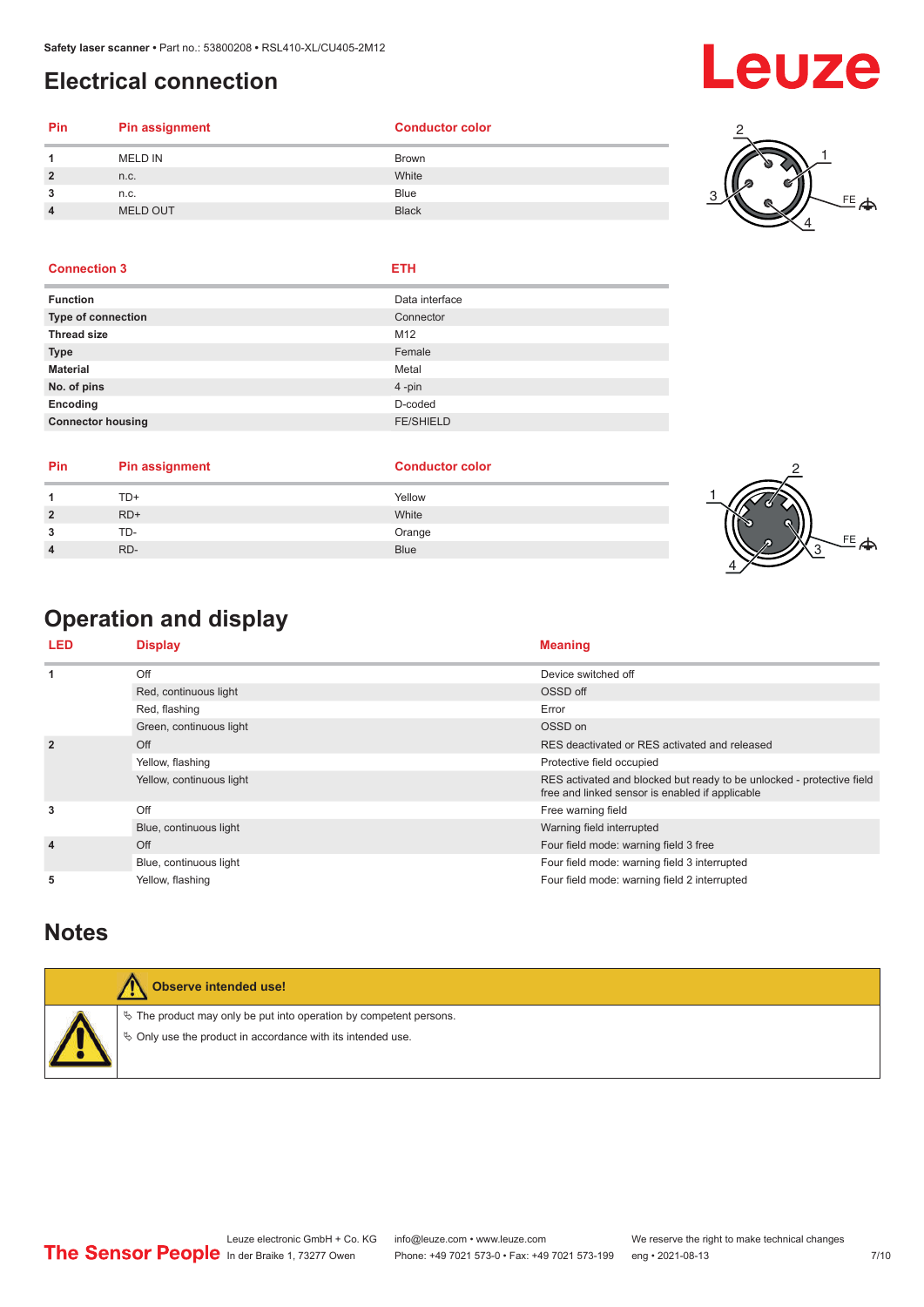### <span id="page-6-0"></span>**Electrical connection**

# **Leuze**

| Pin | Pin assignment | <b>Conductor color</b> |
|-----|----------------|------------------------|
|     | <b>MELD IN</b> | <b>Brown</b>           |
|     | n.c.           | White                  |
|     | n.c.           | <b>Blue</b>            |
|     | MELD OUT       | <b>Black</b>           |
|     |                |                        |



### **Connection 3 ETH**

| <b>Function</b>          | Data interface   |
|--------------------------|------------------|
| Type of connection       | Connector        |
| <b>Thread size</b>       | M12              |
| <b>Type</b>              | Female           |
| <b>Material</b>          | Metal            |
| No. of pins              | 4-pin            |
| Encoding                 | D-coded          |
| <b>Connector housing</b> | <b>FE/SHIELD</b> |
|                          |                  |

| Pin | <b>Pin assignment</b> | <b>Conductor color</b> |  |
|-----|-----------------------|------------------------|--|
|     | TD+                   | Yellow                 |  |
|     | $RD+$                 | White                  |  |
|     | TD-                   | Orange                 |  |
|     | RD-                   | <b>Blue</b>            |  |
|     |                       |                        |  |

# **Operation and display**

| <b>LED</b>     | <b>Display</b>           | <b>Meaning</b>                                                                                                           |
|----------------|--------------------------|--------------------------------------------------------------------------------------------------------------------------|
| 1              | Off                      | Device switched off                                                                                                      |
|                | Red, continuous light    | OSSD off                                                                                                                 |
|                | Red, flashing            | Error                                                                                                                    |
|                | Green, continuous light  | OSSD on                                                                                                                  |
| $\overline{2}$ | Off                      | RES deactivated or RES activated and released                                                                            |
|                | Yellow, flashing         | Protective field occupied                                                                                                |
|                | Yellow, continuous light | RES activated and blocked but ready to be unlocked - protective field<br>free and linked sensor is enabled if applicable |
| 3              | Off                      | Free warning field                                                                                                       |
|                | Blue, continuous light   | Warning field interrupted                                                                                                |
| $\overline{4}$ | Off                      | Four field mode: warning field 3 free                                                                                    |
|                | Blue, continuous light   | Four field mode: warning field 3 interrupted                                                                             |
| 5              | Yellow, flashing         | Four field mode: warning field 2 interrupted                                                                             |

### **Notes**

| Observe intended use!                                                                                                                |
|--------------------------------------------------------------------------------------------------------------------------------------|
| $\%$ The product may only be put into operation by competent persons.<br>§ Only use the product in accordance with its intended use. |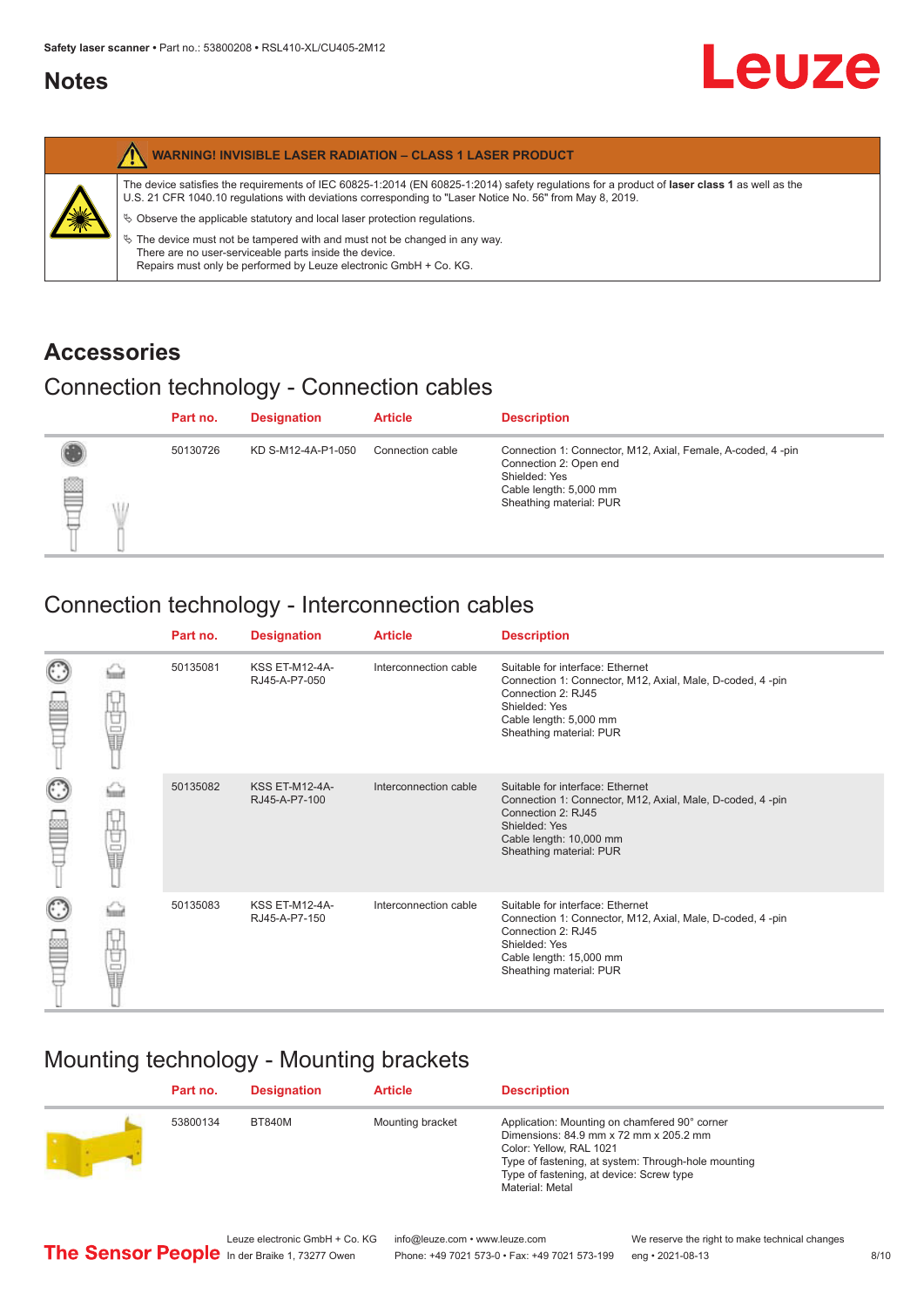### <span id="page-7-0"></span>**Notes**

|   | <b>WARNING! INVISIBLE LASER RADIATION - CLASS 1 LASER PRODUCT</b>                                                                                                                                                                                                                                                                                                                                                                                                                                                                                         |
|---|-----------------------------------------------------------------------------------------------------------------------------------------------------------------------------------------------------------------------------------------------------------------------------------------------------------------------------------------------------------------------------------------------------------------------------------------------------------------------------------------------------------------------------------------------------------|
| 纂 | The device satisfies the requirements of IEC 60825-1:2014 (EN 60825-1:2014) safety regulations for a product of laser class 1 as well as the<br>U.S. 21 CFR 1040.10 regulations with deviations corresponding to "Laser Notice No. 56" from May 8, 2019.<br>$\&$ Observe the applicable statutory and local laser protection regulations.<br>$\%$ The device must not be tampered with and must not be changed in any way.<br>There are no user-serviceable parts inside the device.<br>Repairs must only be performed by Leuze electronic GmbH + Co. KG. |

### **Accessories**

## Connection technology - Connection cables

|   | Part no. | <b>Designation</b> | <b>Article</b>   | <b>Description</b>                                                                                                                                          |
|---|----------|--------------------|------------------|-------------------------------------------------------------------------------------------------------------------------------------------------------------|
| ₩ | 50130726 | KD S-M12-4A-P1-050 | Connection cable | Connection 1: Connector, M12, Axial, Female, A-coded, 4-pin<br>Connection 2: Open end<br>Shielded: Yes<br>Cable length: 5,000 mm<br>Sheathing material: PUR |

## Connection technology - Interconnection cables

|                      |        | Part no. | <b>Designation</b>                     | <b>Article</b>        | <b>Description</b>                                                                                                                                                                         |
|----------------------|--------|----------|----------------------------------------|-----------------------|--------------------------------------------------------------------------------------------------------------------------------------------------------------------------------------------|
|                      | 甘晶     | 50135081 | <b>KSS ET-M12-4A-</b><br>RJ45-A-P7-050 | Interconnection cable | Suitable for interface: Ethernet<br>Connection 1: Connector, M12, Axial, Male, D-coded, 4-pin<br>Connection 2: RJ45<br>Shielded: Yes<br>Cable length: 5,000 mm<br>Sheathing material: PUR  |
| C                    | 甘量     | 50135082 | <b>KSS ET-M12-4A-</b><br>RJ45-A-P7-100 | Interconnection cable | Suitable for interface: Ethernet<br>Connection 1: Connector, M12, Axial, Male, D-coded, 4-pin<br>Connection 2: RJ45<br>Shielded: Yes<br>Cable length: 10,000 mm<br>Sheathing material: PUR |
| $_{\mathbb{C}}$<br>ŧ | Ù<br>U | 50135083 | <b>KSS ET-M12-4A-</b><br>RJ45-A-P7-150 | Interconnection cable | Suitable for interface: Ethernet<br>Connection 1: Connector, M12, Axial, Male, D-coded, 4-pin<br>Connection 2: RJ45<br>Shielded: Yes<br>Cable length: 15,000 mm<br>Sheathing material: PUR |

## Mounting technology - Mounting brackets

| Part no. | <b>Designation</b> | <b>Article</b>   | <b>Description</b>                                                                                                                                                                                                                       |
|----------|--------------------|------------------|------------------------------------------------------------------------------------------------------------------------------------------------------------------------------------------------------------------------------------------|
| 53800134 | <b>BT840M</b>      | Mounting bracket | Application: Mounting on chamfered 90° corner<br>Dimensions: 84.9 mm x 72 mm x 205.2 mm<br>Color: Yellow, RAL 1021<br>Type of fastening, at system: Through-hole mounting<br>Type of fastening, at device: Screw type<br>Material: Metal |



Leuze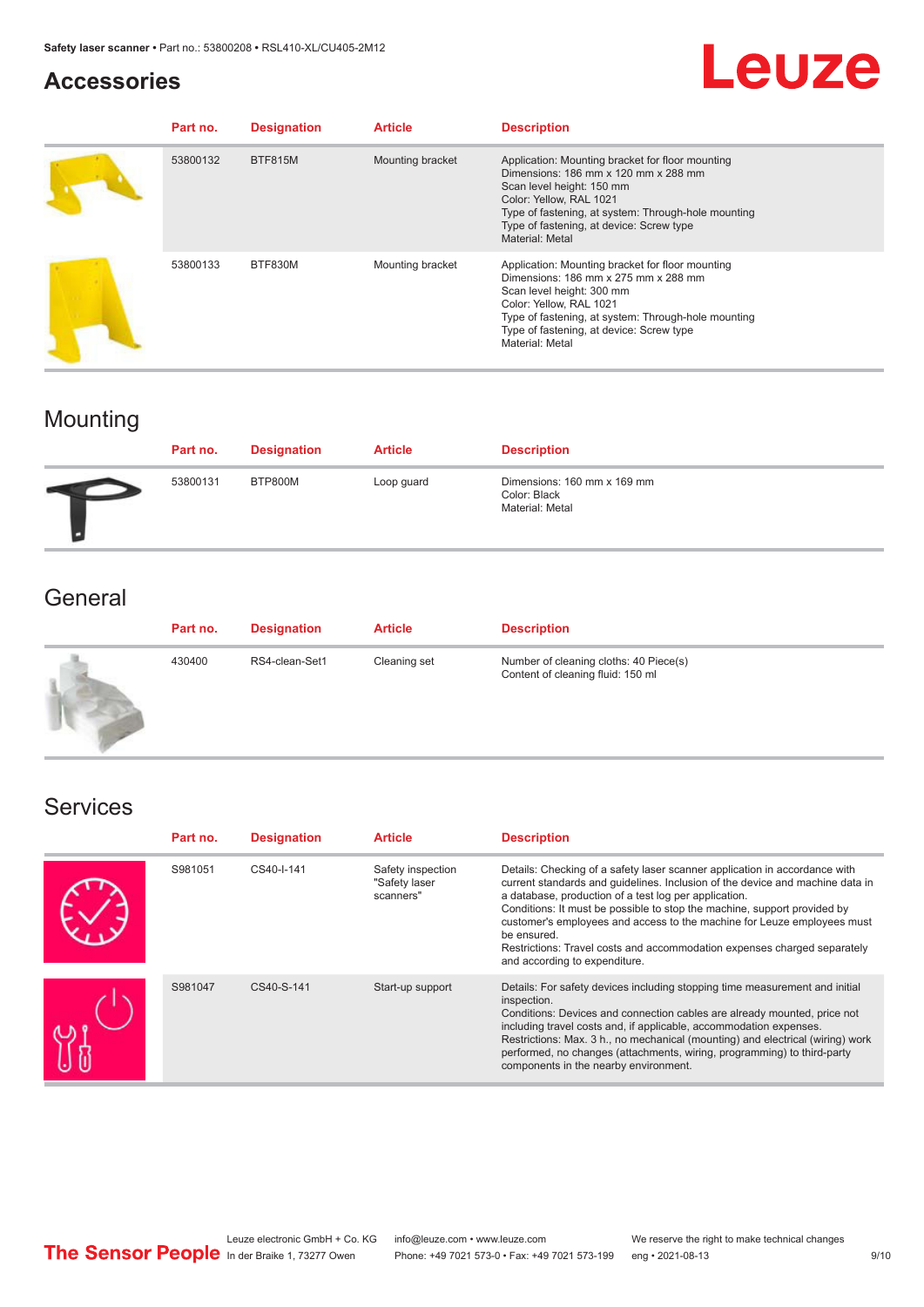### **Accessories**

# Leuze

| Part no. | <b>Designation</b> | <b>Article</b>   | <b>Description</b>                                                                                                                                                                                                                                                            |
|----------|--------------------|------------------|-------------------------------------------------------------------------------------------------------------------------------------------------------------------------------------------------------------------------------------------------------------------------------|
| 53800132 | <b>BTF815M</b>     | Mounting bracket | Application: Mounting bracket for floor mounting<br>Dimensions: 186 mm x 120 mm x 288 mm<br>Scan level height: 150 mm<br>Color: Yellow, RAL 1021<br>Type of fastening, at system: Through-hole mounting<br>Type of fastening, at device: Screw type<br>Material: Metal        |
| 53800133 | BTF830M            | Mounting bracket | Application: Mounting bracket for floor mounting<br>Dimensions: 186 mm x 275 mm x 288 mm<br>Scan level height: 300 mm<br>Color: Yellow, RAL 1021<br>Type of fastening, at system: Through-hole mounting<br>Type of fastening, at device: Screw type<br><b>Material: Metal</b> |

# Mounting

| Part no. | <b>Designation</b> | <b>Article</b> | <b>Description</b>                                             |
|----------|--------------------|----------------|----------------------------------------------------------------|
| 53800131 | BTP800M            | Loop guard     | Dimensions: 160 mm x 169 mm<br>Color: Black<br>Material: Metal |

### **General**

| Part no. | <b>Designation</b> | <b>Article</b> | <b>Description</b>                                                          |
|----------|--------------------|----------------|-----------------------------------------------------------------------------|
| 430400   | RS4-clean-Set1     | Cleaning set   | Number of cleaning cloths: 40 Piece(s)<br>Content of cleaning fluid: 150 ml |

### Services

| Part no. | <b>Designation</b> | <b>Article</b>                                  | <b>Description</b>                                                                                                                                                                                                                                                                                                                                                                                                                                                                                      |
|----------|--------------------|-------------------------------------------------|---------------------------------------------------------------------------------------------------------------------------------------------------------------------------------------------------------------------------------------------------------------------------------------------------------------------------------------------------------------------------------------------------------------------------------------------------------------------------------------------------------|
| S981051  | CS40-I-141         | Safety inspection<br>"Safety laser<br>scanners" | Details: Checking of a safety laser scanner application in accordance with<br>current standards and quidelines. Inclusion of the device and machine data in<br>a database, production of a test log per application.<br>Conditions: It must be possible to stop the machine, support provided by<br>customer's employees and access to the machine for Leuze employees must<br>be ensured.<br>Restrictions: Travel costs and accommodation expenses charged separately<br>and according to expenditure. |
| S981047  | CS40-S-141         | Start-up support                                | Details: For safety devices including stopping time measurement and initial<br>inspection.<br>Conditions: Devices and connection cables are already mounted, price not<br>including travel costs and, if applicable, accommodation expenses.<br>Restrictions: Max. 3 h., no mechanical (mounting) and electrical (wiring) work<br>performed, no changes (attachments, wiring, programming) to third-party<br>components in the nearby environment.                                                      |